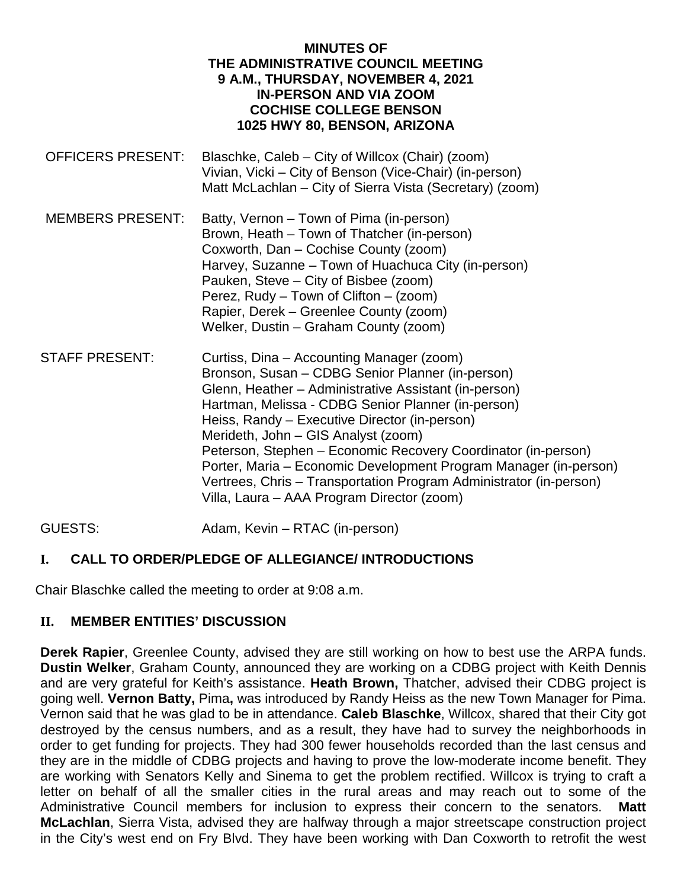#### **MINUTES OF THE ADMINISTRATIVE COUNCIL MEETING 9 A.M., THURSDAY, NOVEMBER 4, 2021 IN-PERSON AND VIA ZOOM COCHISE COLLEGE BENSON 1025 HWY 80, BENSON, ARIZONA**

- OFFICERS PRESENT: Blaschke, Caleb City of Willcox (Chair) (zoom) Vivian, Vicki – City of Benson (Vice-Chair) (in-person) Matt McLachlan – City of Sierra Vista (Secretary) (zoom)
- MEMBERS PRESENT: Batty, Vernon Town of Pima (in-person) Brown, Heath – Town of Thatcher (in-person) Coxworth, Dan – Cochise County (zoom) Harvey, Suzanne – Town of Huachuca City (in-person) Pauken, Steve – City of Bisbee (zoom) Perez, Rudy – Town of Clifton – (zoom) Rapier, Derek – Greenlee County (zoom) Welker, Dustin – Graham County (zoom)
- STAFF PRESENT: Curtiss, Dina Accounting Manager (zoom) Bronson, Susan – CDBG Senior Planner (in-person) Glenn, Heather – Administrative Assistant (in-person) Hartman, Melissa - CDBG Senior Planner (in-person) Heiss, Randy – Executive Director (in-person) Merideth, John – GIS Analyst (zoom) Peterson, Stephen – Economic Recovery Coordinator (in-person) Porter, Maria – Economic Development Program Manager (in-person) Vertrees, Chris – Transportation Program Administrator (in-person) Villa, Laura – AAA Program Director (zoom)

GUESTS: Adam, Kevin – RTAC (in-person)

## **I. CALL TO ORDER/PLEDGE OF ALLEGIANCE/ INTRODUCTIONS**

Chair Blaschke called the meeting to order at 9:08 a.m.

## **II. MEMBER ENTITIES' DISCUSSION**

**Derek Rapier**, Greenlee County, advised they are still working on how to best use the ARPA funds. **Dustin Welker**, Graham County, announced they are working on a CDBG project with Keith Dennis and are very grateful for Keith's assistance. **Heath Brown,** Thatcher, advised their CDBG project is going well. **Vernon Batty,** Pima**,** was introduced by Randy Heiss as the new Town Manager for Pima. Vernon said that he was glad to be in attendance. **Caleb Blaschke**, Willcox, shared that their City got destroyed by the census numbers, and as a result, they have had to survey the neighborhoods in order to get funding for projects. They had 300 fewer households recorded than the last census and they are in the middle of CDBG projects and having to prove the low-moderate income benefit. They are working with Senators Kelly and Sinema to get the problem rectified. Willcox is trying to craft a letter on behalf of all the smaller cities in the rural areas and may reach out to some of the Administrative Council members for inclusion to express their concern to the senators. **Matt McLachlan**, Sierra Vista, advised they are halfway through a major streetscape construction project in the City's west end on Fry Blvd. They have been working with Dan Coxworth to retrofit the west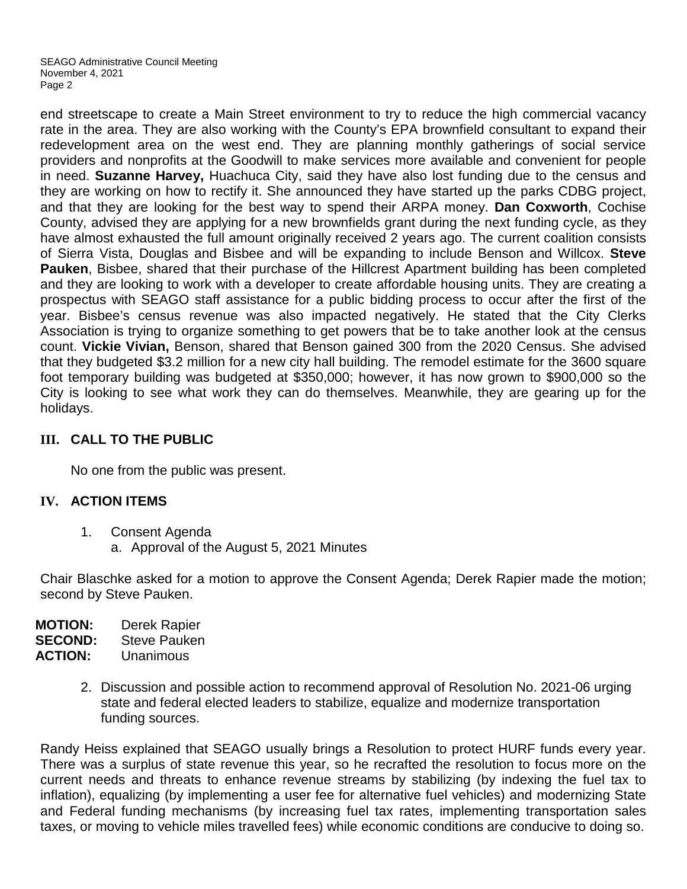end streetscape to create a Main Street environment to try to reduce the high commercial vacancy rate in the area. They are also working with the County's EPA brownfield consultant to expand their redevelopment area on the west end. They are planning monthly gatherings of social service providers and nonprofits at the Goodwill to make services more available and convenient for people in need. **Suzanne Harvey,** Huachuca City, said they have also lost funding due to the census and they are working on how to rectify it. She announced they have started up the parks CDBG project, and that they are looking for the best way to spend their ARPA money. **Dan Coxworth**, Cochise County, advised they are applying for a new brownfields grant during the next funding cycle, as they have almost exhausted the full amount originally received 2 years ago. The current coalition consists of Sierra Vista, Douglas and Bisbee and will be expanding to include Benson and Willcox. **Steve Pauken**, Bisbee, shared that their purchase of the Hillcrest Apartment building has been completed and they are looking to work with a developer to create affordable housing units. They are creating a prospectus with SEAGO staff assistance for a public bidding process to occur after the first of the year. Bisbee's census revenue was also impacted negatively. He stated that the City Clerks Association is trying to organize something to get powers that be to take another look at the census count. **Vickie Vivian,** Benson, shared that Benson gained 300 from the 2020 Census. She advised that they budgeted \$3.2 million for a new city hall building. The remodel estimate for the 3600 square foot temporary building was budgeted at \$350,000; however, it has now grown to \$900,000 so the City is looking to see what work they can do themselves. Meanwhile, they are gearing up for the holidays.

### **III. CALL TO THE PUBLIC**

No one from the public was present.

#### **IV. ACTION ITEMS**

1. Consent Agenda a. Approval of the August 5, 2021 Minutes

Chair Blaschke asked for a motion to approve the Consent Agenda; Derek Rapier made the motion; second by Steve Pauken.

- **MOTION:** Derek Rapier
- **SECOND:** Steve Pauken
- **ACTION:** Unanimous
	- 2. Discussion and possible action to recommend approval of Resolution No. 2021-06 urging state and federal elected leaders to stabilize, equalize and modernize transportation funding sources.

Randy Heiss explained that SEAGO usually brings a Resolution to protect HURF funds every year. There was a surplus of state revenue this year, so he recrafted the resolution to focus more on the current needs and threats to enhance revenue streams by stabilizing (by indexing the fuel tax to inflation), equalizing (by implementing a user fee for alternative fuel vehicles) and modernizing State and Federal funding mechanisms (by increasing fuel tax rates, implementing transportation sales taxes, or moving to vehicle miles travelled fees) while economic conditions are conducive to doing so.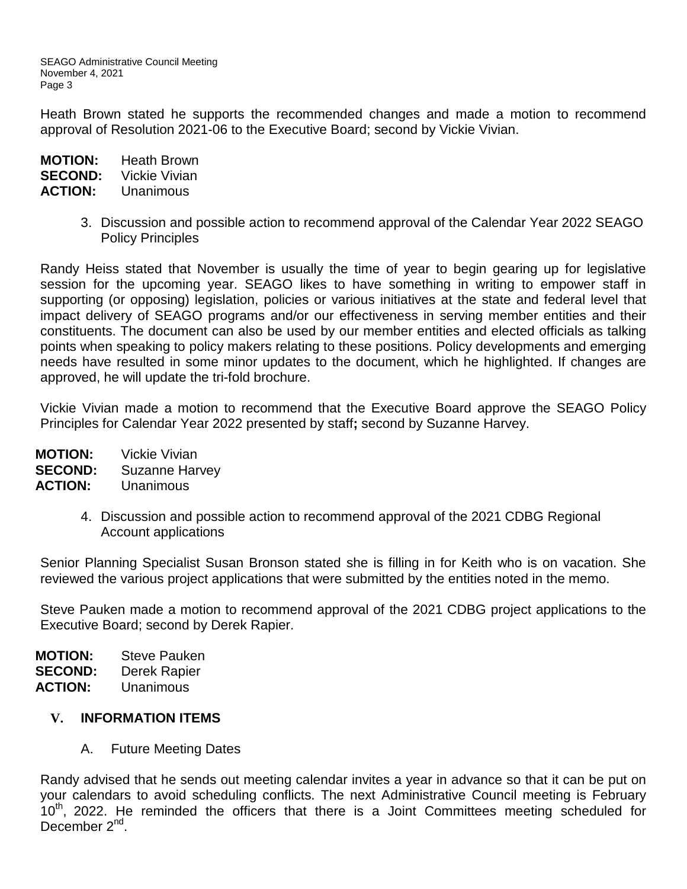SEAGO Administrative Council Meeting November 4, 2021 Page 3

Heath Brown stated he supports the recommended changes and made a motion to recommend approval of Resolution 2021-06 to the Executive Board; second by Vickie Vivian.

**MOTION:** Heath Brown **SECOND:** Vickie Vivian<br>**ACTION:** Unanimous **ACTION:** Unanimous

> 3. Discussion and possible action to recommend approval of the Calendar Year 2022 SEAGO Policy Principles

Randy Heiss stated that November is usually the time of year to begin gearing up for legislative session for the upcoming year. SEAGO likes to have something in writing to empower staff in supporting (or opposing) legislation, policies or various initiatives at the state and federal level that impact delivery of SEAGO programs and/or our effectiveness in serving member entities and their constituents. The document can also be used by our member entities and elected officials as talking points when speaking to policy makers relating to these positions. Policy developments and emerging needs have resulted in some minor updates to the document, which he highlighted. If changes are approved, he will update the tri-fold brochure.

Vickie Vivian made a motion to recommend that the Executive Board approve the SEAGO Policy Principles for Calendar Year 2022 presented by staff**;** second by Suzanne Harvey.

**MOTION:** Vickie Vivian **SECOND:** Suzanne Harvey<br>**ACTION:** Unanimous **ACTION:** Unanimous

> 4. Discussion and possible action to recommend approval of the 2021 CDBG Regional Account applications

Senior Planning Specialist Susan Bronson stated she is filling in for Keith who is on vacation. She reviewed the various project applications that were submitted by the entities noted in the memo.

Steve Pauken made a motion to recommend approval of the 2021 CDBG project applications to the Executive Board; second by Derek Rapier.

**MOTION:** Steve Pauken **SECOND:** Derek Rapier **ACTION:** Unanimous

#### **V. INFORMATION ITEMS**

A. Future Meeting Dates

Randy advised that he sends out meeting calendar invites a year in advance so that it can be put on your calendars to avoid scheduling conflicts. The next Administrative Council meeting is February  $10<sup>th</sup>$ , 2022. He reminded the officers that there is a Joint Committees meeting scheduled for December 2<sup>nd</sup>.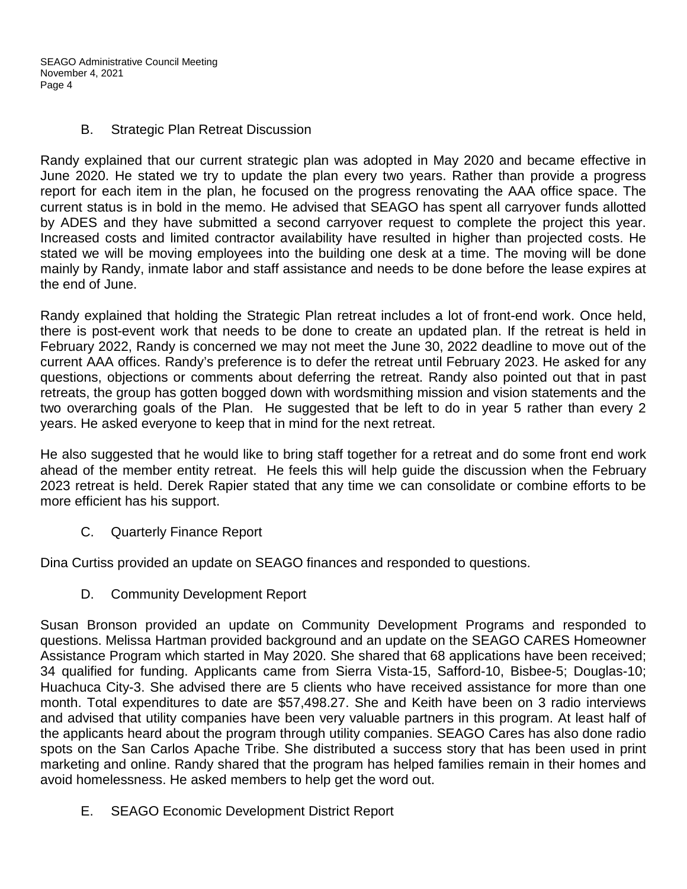#### B. Strategic Plan Retreat Discussion

Randy explained that our current strategic plan was adopted in May 2020 and became effective in June 2020. He stated we try to update the plan every two years. Rather than provide a progress report for each item in the plan, he focused on the progress renovating the AAA office space. The current status is in bold in the memo. He advised that SEAGO has spent all carryover funds allotted by ADES and they have submitted a second carryover request to complete the project this year. Increased costs and limited contractor availability have resulted in higher than projected costs. He stated we will be moving employees into the building one desk at a time. The moving will be done mainly by Randy, inmate labor and staff assistance and needs to be done before the lease expires at the end of June.

Randy explained that holding the Strategic Plan retreat includes a lot of front-end work. Once held, there is post-event work that needs to be done to create an updated plan. If the retreat is held in February 2022, Randy is concerned we may not meet the June 30, 2022 deadline to move out of the current AAA offices. Randy's preference is to defer the retreat until February 2023. He asked for any questions, objections or comments about deferring the retreat. Randy also pointed out that in past retreats, the group has gotten bogged down with wordsmithing mission and vision statements and the two overarching goals of the Plan. He suggested that be left to do in year 5 rather than every 2 years. He asked everyone to keep that in mind for the next retreat.

He also suggested that he would like to bring staff together for a retreat and do some front end work ahead of the member entity retreat. He feels this will help guide the discussion when the February 2023 retreat is held. Derek Rapier stated that any time we can consolidate or combine efforts to be more efficient has his support.

C. Quarterly Finance Report

Dina Curtiss provided an update on SEAGO finances and responded to questions.

D. Community Development Report

Susan Bronson provided an update on Community Development Programs and responded to questions. Melissa Hartman provided background and an update on the SEAGO CARES Homeowner Assistance Program which started in May 2020. She shared that 68 applications have been received; 34 qualified for funding. Applicants came from Sierra Vista-15, Safford-10, Bisbee-5; Douglas-10; Huachuca City-3. She advised there are 5 clients who have received assistance for more than one month. Total expenditures to date are \$57,498.27. She and Keith have been on 3 radio interviews and advised that utility companies have been very valuable partners in this program. At least half of the applicants heard about the program through utility companies. SEAGO Cares has also done radio spots on the San Carlos Apache Tribe. She distributed a success story that has been used in print marketing and online. Randy shared that the program has helped families remain in their homes and avoid homelessness. He asked members to help get the word out.

E. SEAGO Economic Development District Report